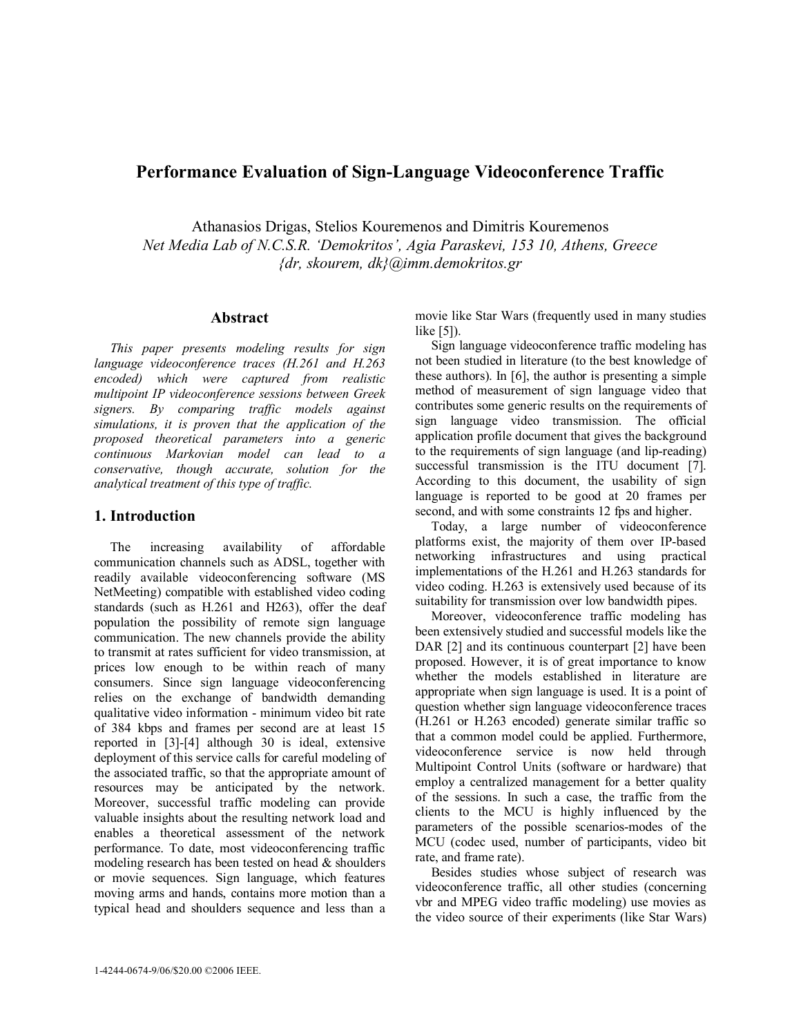# **Performance Evaluation of Sign-Language Videoconference Traffic**

Athanasios Drigas, Stelios Kouremenos and Dimitris Kouremenos *Net Media Lab of N.C.S.R. 'Demokritos', Agia Paraskevi, 153 10, Athens, Greece {dr, skourem, dk}@imm.demokritos.gr* 

### **Abstract**

*This paper presents modeling results for sign language videoconference traces (H.261 and H.263 encoded) which were captured from realistic multipoint IP videoconference sessions between Greek signers. By comparing traffic models against simulations, it is proven that the application of the proposed theoretical parameters into a generic continuous Markovian model can lead to a conservative, though accurate, solution for the analytical treatment of this type of traffic.* 

## **1. Introduction**

The increasing availability of affordable communication channels such as ADSL, together with readily available videoconferencing software (MS NetMeeting) compatible with established video coding standards (such as H.261 and H263), offer the deaf population the possibility of remote sign language communication. The new channels provide the ability to transmit at rates sufficient for video transmission, at prices low enough to be within reach of many consumers. Since sign language videoconferencing relies on the exchange of bandwidth demanding qualitative video information - minimum video bit rate of 384 kbps and frames per second are at least 15 reported in [3]-[4] although 30 is ideal, extensive deployment of this service calls for careful modeling of the associated traffic, so that the appropriate amount of resources may be anticipated by the network. Moreover, successful traffic modeling can provide valuable insights about the resulting network load and enables a theoretical assessment of the network performance. To date, most videoconferencing traffic modeling research has been tested on head & shoulders or movie sequences. Sign language, which features moving arms and hands, contains more motion than a typical head and shoulders sequence and less than a

movie like Star Wars (frequently used in many studies like [5]).

Sign language videoconference traffic modeling has not been studied in literature (to the best knowledge of these authors). In [6], the author is presenting a simple method of measurement of sign language video that contributes some generic results on the requirements of sign language video transmission. The official application profile document that gives the background to the requirements of sign language (and lip-reading) successful transmission is the ITU document [7]. According to this document, the usability of sign language is reported to be good at 20 frames per second, and with some constraints 12 fps and higher.

Today, a large number of videoconference platforms exist, the majority of them over IP-based networking infrastructures and using practical implementations of the H.261 and H.263 standards for video coding. H.263 is extensively used because of its suitability for transmission over low bandwidth pipes.

Moreover, videoconference traffic modeling has been extensively studied and successful models like the DAR [2] and its continuous counterpart [2] have been proposed. However, it is of great importance to know whether the models established in literature are appropriate when sign language is used. It is a point of question whether sign language videoconference traces (H.261 or H.263 encoded) generate similar traffic so that a common model could be applied. Furthermore, videoconference service is now held through Multipoint Control Units (software or hardware) that employ a centralized management for a better quality of the sessions. In such a case, the traffic from the clients to the MCU is highly influenced by the parameters of the possible scenarios-modes of the MCU (codec used, number of participants, video bit rate, and frame rate).

Besides studies whose subject of research was videoconference traffic, all other studies (concerning vbr and MPEG video traffic modeling) use movies as the video source of their experiments (like Star Wars)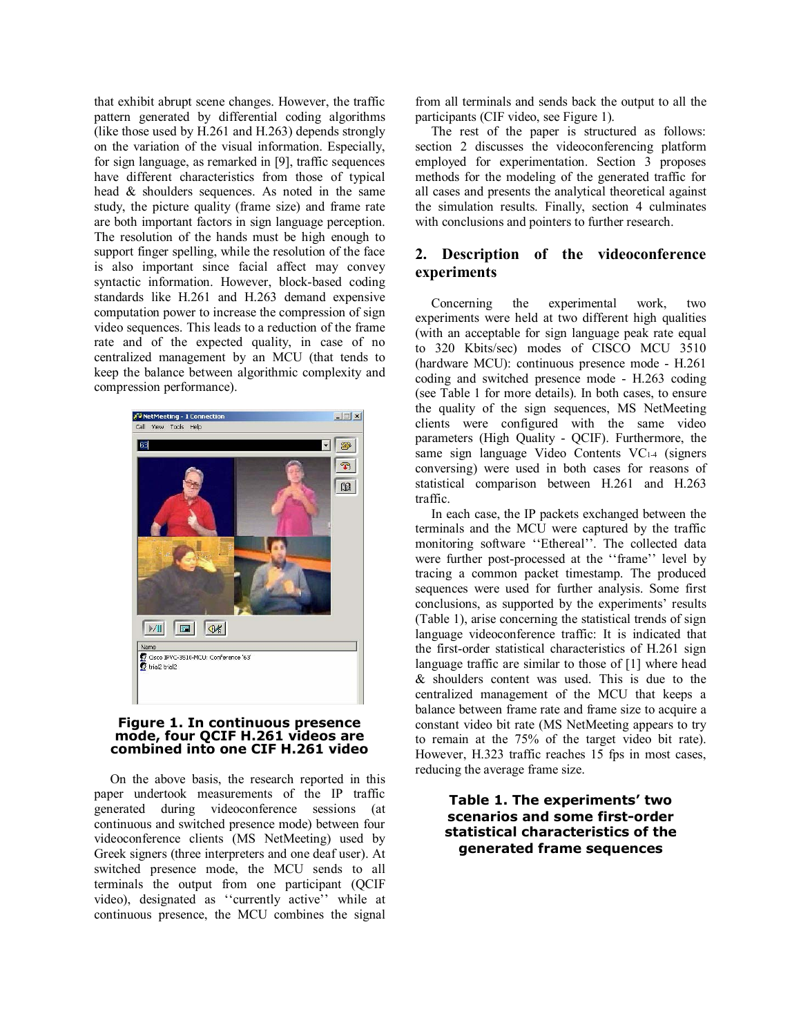that exhibit abrupt scene changes. However, the traffic pattern generated by differential coding algorithms (like those used by H.261 and H.263) depends strongly on the variation of the visual information. Especially, for sign language, as remarked in [9], traffic sequences have different characteristics from those of typical head & shoulders sequences. As noted in the same study, the picture quality (frame size) and frame rate are both important factors in sign language perception. The resolution of the hands must be high enough to support finger spelling, while the resolution of the face is also important since facial affect may convey syntactic information. However, block-based coding standards like H.261 and H.263 demand expensive computation power to increase the compression of sign video sequences. This leads to a reduction of the frame rate and of the expected quality, in case of no centralized management by an MCU (that tends to keep the balance between algorithmic complexity and compression performance).



#### **Figure 1. In continuous presence mode, four QCIF H.261 videos are combined into one CIF H.261 video**

On the above basis, the research reported in this paper undertook measurements of the IP traffic generated during videoconference sessions (at continuous and switched presence mode) between four videoconference clients (MS NetMeeting) used by Greek signers (three interpreters and one deaf user). At switched presence mode, the MCU sends to all terminals the output from one participant (QCIF video), designated as ''currently active'' while at continuous presence, the MCU combines the signal

from all terminals and sends back the output to all the participants (CIF video, see Figure 1).

The rest of the paper is structured as follows: section 2 discusses the videoconferencing platform employed for experimentation. Section 3 proposes methods for the modeling of the generated traffic for all cases and presents the analytical theoretical against the simulation results. Finally, section 4 culminates with conclusions and pointers to further research.

# **2. Description of the videoconference experiments**

Concerning the experimental work, two experiments were held at two different high qualities (with an acceptable for sign language peak rate equal to 320 Kbits/sec) modes of CISCO MCU 3510 (hardware MCU): continuous presence mode - H.261 coding and switched presence mode - H.263 coding (see Table 1 for more details). In both cases, to ensure the quality of the sign sequences, MS NetMeeting clients were configured with the same video parameters (High Quality - QCIF). Furthermore, the same sign language Video Contents VC1-4 (signers conversing) were used in both cases for reasons of statistical comparison between H.261 and H.263 traffic.

In each case, the IP packets exchanged between the terminals and the MCU were captured by the traffic monitoring software ''Ethereal''. The collected data were further post-processed at the ''frame'' level by tracing a common packet timestamp. The produced sequences were used for further analysis. Some first conclusions, as supported by the experiments' results (Table 1), arise concerning the statistical trends of sign language videoconference traffic: It is indicated that the first-order statistical characteristics of H.261 sign language traffic are similar to those of [1] where head & shoulders content was used. This is due to the centralized management of the MCU that keeps a balance between frame rate and frame size to acquire a constant video bit rate (MS NetMeeting appears to try to remain at the 75% of the target video bit rate). However, H.323 traffic reaches 15 fps in most cases, reducing the average frame size.

# **Table 1. The experiments' two scenarios and some first-order statistical characteristics of the generated frame sequences**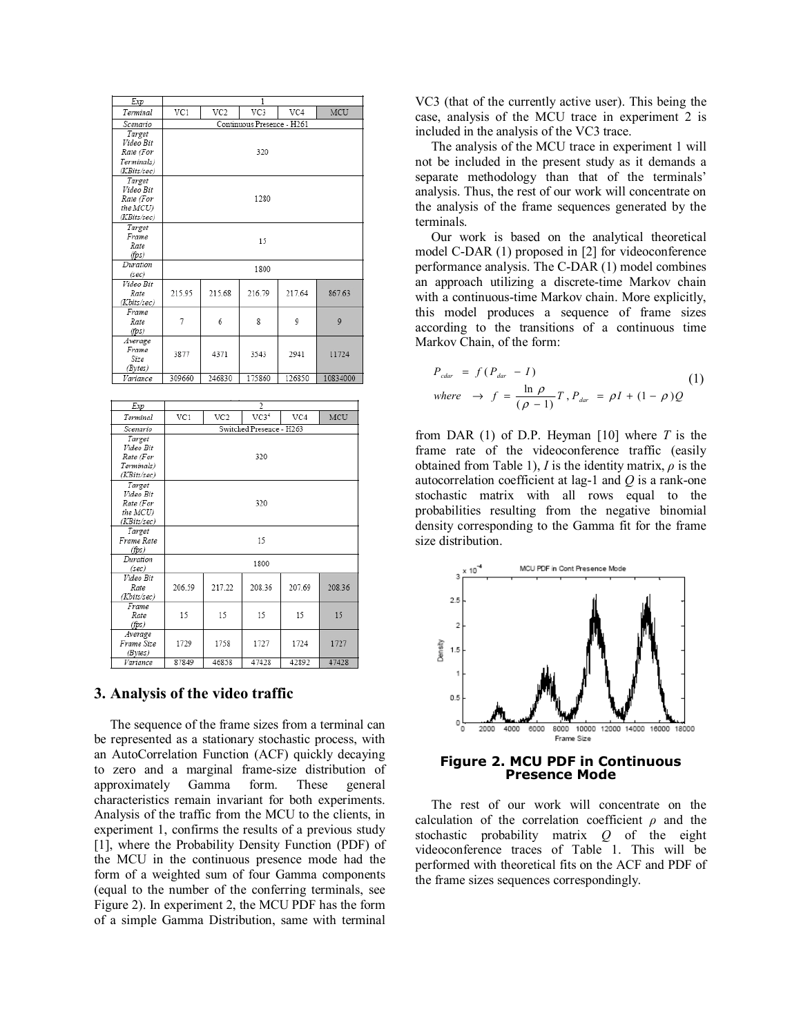| Exp                                                           | 1                          |        |        |        |          |  |  |  |
|---------------------------------------------------------------|----------------------------|--------|--------|--------|----------|--|--|--|
| Terminal                                                      | VC1                        | VC2    | VC3    | VC4    | MCU      |  |  |  |
| Scenario                                                      | Continuous Presence - H261 |        |        |        |          |  |  |  |
| Target<br>Video Bit<br>Rate (For<br>Terminals)<br>(KBits/sec) | 320                        |        |        |        |          |  |  |  |
| Target<br>Video Bit<br>Rate (For<br>the MCU)<br>(KBits/sec)   | 1280                       |        |        |        |          |  |  |  |
| Target<br>Frame<br>Rate<br>(fps)                              | 15                         |        |        |        |          |  |  |  |
| Duration<br>(sec)                                             | 1800                       |        |        |        |          |  |  |  |
| Video Bit<br>Rate<br>(Kbits/sec)                              | 215.95                     | 215.68 | 216.79 | 217.64 | 867.63   |  |  |  |
| Frame<br>Rate<br>(fps)                                        | 7                          | 6      | 8      | 9      | 9        |  |  |  |
| Average<br>Frame<br>Size<br>(Bytes)                           | 3877                       | 4371   | 3543   | 2941   | 11724    |  |  |  |
| Variance                                                      | 309660                     | 246830 | 175860 | 126850 | 10834000 |  |  |  |

| Exp         | $\overline{2}$           |        |                  |        |        |  |
|-------------|--------------------------|--------|------------------|--------|--------|--|
| Terminal    | VC1                      | VC2    | VC3 <sup>4</sup> | VC4    | MCU    |  |
| Scenario    | Switched Presence - H263 |        |                  |        |        |  |
| Target      |                          |        |                  |        |        |  |
| Video Bit   |                          |        |                  |        |        |  |
| Rate (For   | 320                      |        |                  |        |        |  |
| Terminals)  |                          |        |                  |        |        |  |
| (KBits/sec) |                          |        |                  |        |        |  |
| Target      |                          |        |                  |        |        |  |
| Video Bit   |                          |        |                  |        |        |  |
| Rate (For   | 320                      |        |                  |        |        |  |
| the MCU)    |                          |        |                  |        |        |  |
| (KBits/sec) |                          |        |                  |        |        |  |
| Target      |                          |        |                  |        |        |  |
| Frame Rate  | 15                       |        |                  |        |        |  |
| (fps)       |                          |        |                  |        |        |  |
| Duration    | 1800                     |        |                  |        |        |  |
| (sec)       |                          |        |                  |        |        |  |
| Video Bit   |                          |        |                  |        |        |  |
| Rate        | 206.59                   | 217.22 | 208.36           | 207 69 | 208.36 |  |
| (Kbits/sec) |                          |        |                  |        |        |  |
| Frame       |                          |        |                  |        |        |  |
| Rate        | 15                       | 15     | 15               | 15     | 15     |  |
| (fps)       |                          |        |                  |        |        |  |
| Average     |                          |        |                  |        |        |  |
| Frame Size  | 1729                     | 1758   | 1727             | 1724   | 1727   |  |
| (Bytes)     |                          |        |                  |        |        |  |
| Variance    | 87849                    | 46858  | 47428            | 42892  | 47428  |  |

### **3. Analysis of the video traffic**

The sequence of the frame sizes from a terminal can be represented as a stationary stochastic process, with an AutoCorrelation Function (ACF) quickly decaying to zero and a marginal frame-size distribution of approximately Gamma form. These general characteristics remain invariant for both experiments. Analysis of the traffic from the MCU to the clients, in experiment 1, confirms the results of a previous study [1], where the Probability Density Function (PDF) of the MCU in the continuous presence mode had the form of a weighted sum of four Gamma components (equal to the number of the conferring terminals, see Figure 2). In experiment 2, the MCU PDF has the form of a simple Gamma Distribution, same with terminal VC3 (that of the currently active user). This being the case, analysis of the MCU trace in experiment 2 is included in the analysis of the VC3 trace.

The analysis of the MCU trace in experiment 1 will not be included in the present study as it demands a separate methodology than that of the terminals' analysis. Thus, the rest of our work will concentrate on the analysis of the frame sequences generated by the terminals.

Our work is based on the analytical theoretical model C-DAR (1) proposed in [2] for videoconference performance analysis. The C-DAR (1) model combines an approach utilizing a discrete-time Markov chain with a continuous-time Markov chain. More explicitly, this model produces a sequence of frame sizes according to the transitions of a continuous time Markov Chain, of the form:

$$
P_{\text{cdar}} = f(P_{\text{dar}} - I) \tag{1}
$$
\n
$$
\text{where} \rightarrow f = \frac{\ln \rho}{(\rho - 1)} T, P_{\text{dar}} = \rho I + (1 - \rho) Q
$$

from DAR (1) of D.P. Heyman [10] where *T* is the frame rate of the videoconference traffic (easily obtained from Table 1), *I* is the identity matrix,  $\rho$  is the autocorrelation coefficient at lag-1 and *Q* is a rank-one stochastic matrix with all rows equal to the probabilities resulting from the negative binomial density corresponding to the Gamma fit for the frame size distribution.



**Figure 2. MCU PDF in Continuous Presence Mode** 

The rest of our work will concentrate on the calculation of the correlation coefficient  $\rho$  and the stochastic probability matrix *Q* of the eight videoconference traces of Table 1. This will be performed with theoretical fits on the ACF and PDF of the frame sizes sequences correspondingly.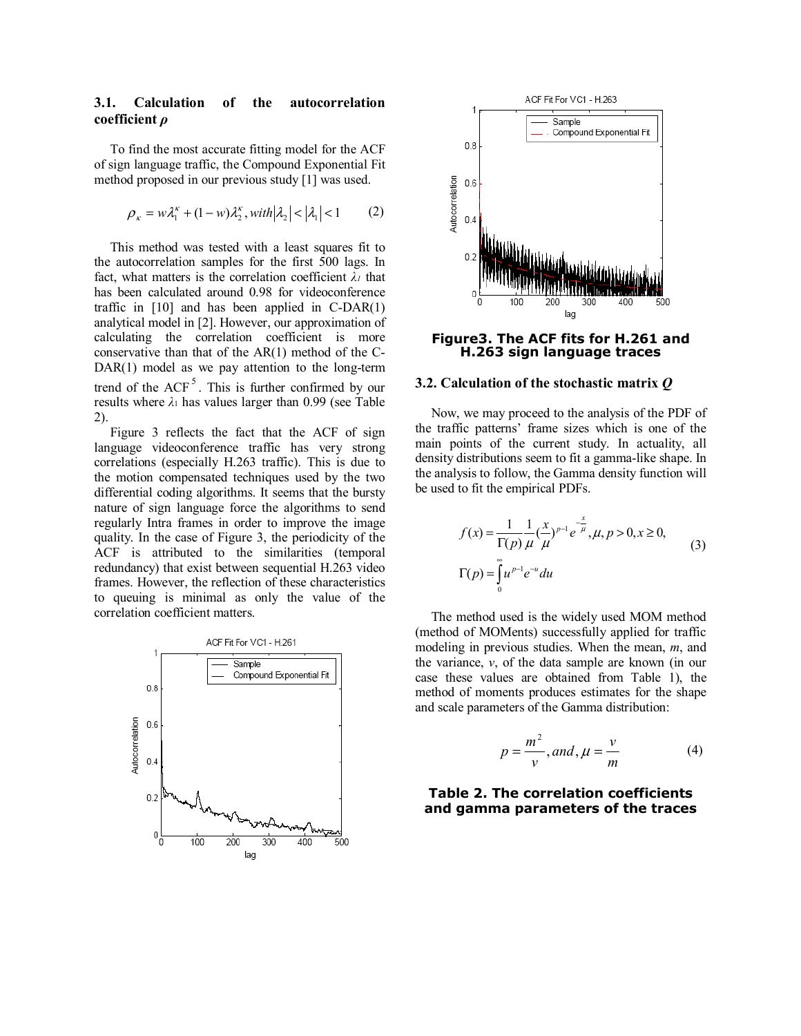## **3.1. Calculation of the autocorrelation coefficient** *ρ*

To find the most accurate fitting model for the ACF of sign language traffic, the Compound Exponential Fit method proposed in our previous study [1] was used.

$$
\rho_{\kappa} = w\lambda_1^{\kappa} + (1 - w)\lambda_2^{\kappa}, with |\lambda_2| < |\lambda_1| < 1
$$
 (2)

This method was tested with a least squares fit to the autocorrelation samples for the first 500 lags. In fact, what matters is the correlation coefficient *λ1* that has been calculated around 0.98 for videoconference traffic in  $[10]$  and has been applied in C-DAR $(1)$ analytical model in [2]. However, our approximation of calculating the correlation coefficient is more conservative than that of the AR(1) method of the C-DAR(1) model as we pay attention to the long-term trend of the  $ACF<sup>5</sup>$ . This is further confirmed by our results where *λ*1 has values larger than 0.99 (see Table 2).

Figure 3 reflects the fact that the ACF of sign language videoconference traffic has very strong correlations (especially H.263 traffic). This is due to the motion compensated techniques used by the two differential coding algorithms. It seems that the bursty nature of sign language force the algorithms to send regularly Intra frames in order to improve the image quality. In the case of Figure 3, the periodicity of the ACF is attributed to the similarities (temporal redundancy) that exist between sequential H.263 video frames. However, the reflection of these characteristics to queuing is minimal as only the value of the correlation coefficient matters.





**Figure3. The ACF fits for H.261 and H.263 sign language traces** 

#### **3.2. Calculation of the stochastic matrix** *Q*

Now, we may proceed to the analysis of the PDF of the traffic patterns' frame sizes which is one of the main points of the current study. In actuality, all density distributions seem to fit a gamma-like shape. In the analysis to follow, the Gamma density function will be used to fit the empirical PDFs.

$$
f(x) = \frac{1}{\Gamma(p)} \frac{1}{\mu} (\frac{x}{\mu})^{p-1} e^{-\frac{x}{\mu}}, \mu, p > 0, x \ge 0,
$$
  
\n
$$
\Gamma(p) = \int_{0}^{\infty} u^{p-1} e^{-u} du
$$
\n(3)

The method used is the widely used MOM method (method of MOMents) successfully applied for traffic modeling in previous studies. When the mean, *m*, and the variance,  $v$ , of the data sample are known (in our case these values are obtained from Table 1), the method of moments produces estimates for the shape and scale parameters of the Gamma distribution:

$$
p = \frac{m^2}{v}, and, \mu = \frac{v}{m}
$$
 (4)

## **Table 2. The correlation coefficients and gamma parameters of the traces**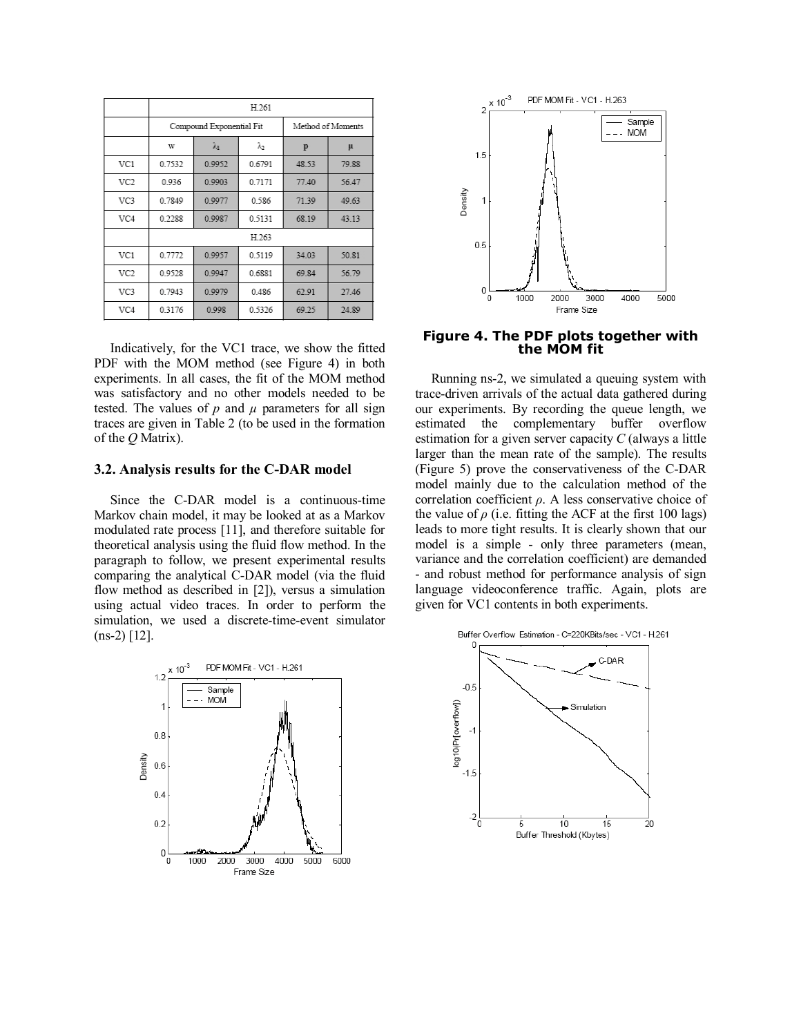|                 | H.261  |                          |                   |       |       |  |  |
|-----------------|--------|--------------------------|-------------------|-------|-------|--|--|
|                 |        | Compound Exponential Fit | Method of Moments |       |       |  |  |
|                 | w      | λ                        | λ2                | p     | μ     |  |  |
| VC1             | 0.7532 | 0.9952                   | 0.6791            | 48.53 | 79.88 |  |  |
| VC <sub>2</sub> | 0.936  | 0.9903                   | 0.7171            | 77.40 | 56.47 |  |  |
| VC3             | 0.7849 | 0.9977                   | 0.586             | 71.39 | 49.63 |  |  |
| VC4             | 0.2288 | 0.9987                   | 0.5131            | 68.19 | 43.13 |  |  |
|                 | H.263  |                          |                   |       |       |  |  |
| VC1             | 0.7772 | 0.9957                   | 0.5119            | 34.03 | 50.81 |  |  |
| VC <sub>2</sub> | 0.9528 | 0.9947                   | 0.6881            | 69.84 | 56.79 |  |  |
| VC3             | 0.7943 | 0.9979                   | 0.486             | 62.91 | 27.46 |  |  |
| VC4             | 0.3176 | 0.998                    | 0.5326            | 69.25 | 24.89 |  |  |

Indicatively, for the VC1 trace, we show the fitted PDF with the MOM method (see Figure 4) in both experiments. In all cases, the fit of the MOM method was satisfactory and no other models needed to be tested. The values of  $p$  and  $\mu$  parameters for all sign traces are given in Table 2 (to be used in the formation of the *Q* Matrix).

### **3.2. Analysis results for the C-DAR model**

Since the C-DAR model is a continuous-time Markov chain model, it may be looked at as a Markov modulated rate process [11], and therefore suitable for theoretical analysis using the fluid flow method. In the paragraph to follow, we present experimental results comparing the analytical C-DAR model (via the fluid flow method as described in [2]), versus a simulation using actual video traces. In order to perform the simulation, we used a discrete-time-event simulator  $(ns-2)$  [12].





**Figure 4. The PDF plots together with the MOM fit** 

Running ns-2, we simulated a queuing system with trace-driven arrivals of the actual data gathered during our experiments. By recording the queue length, we estimated the complementary buffer overflow estimation for a given server capacity *C* (always a little larger than the mean rate of the sample). The results (Figure 5) prove the conservativeness of the C-DAR model mainly due to the calculation method of the correlation coefficient *ρ*. A less conservative choice of the value of  $\rho$  (i.e. fitting the ACF at the first 100 lags) leads to more tight results. It is clearly shown that our model is a simple - only three parameters (mean, variance and the correlation coefficient) are demanded - and robust method for performance analysis of sign language videoconference traffic. Again, plots are given for VC1 contents in both experiments.